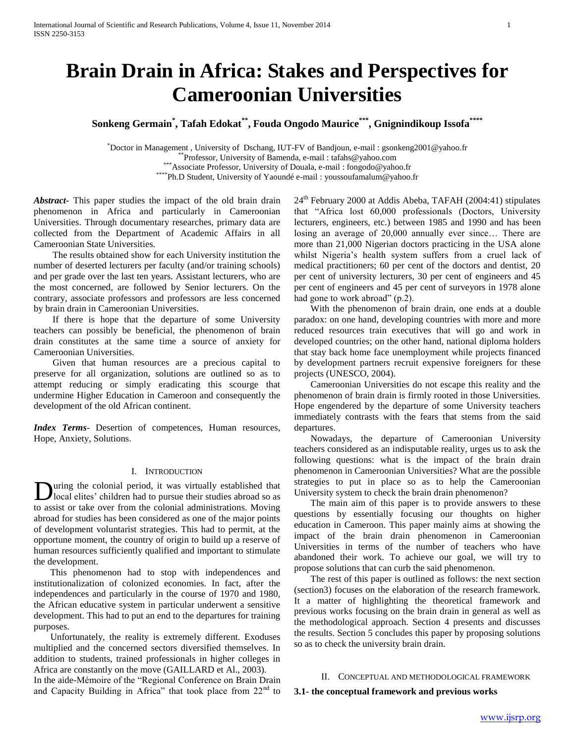# **Brain Drain in Africa: Stakes and Perspectives for Cameroonian Universities**

**Sonkeng Germain\* , Tafah Edokat\*\*, Fouda Ongodo Maurice\*\*\*, Gnignindikoup Issofa\*\*\*\***

\*Doctor in Management , University of Dschang, IUT-FV of Bandjoun, e-mail : gsonkeng2001@yahoo.fr \*\*Professor, University of Bamenda, e-mail : tafahs@yahoo.com

\*\*\*Associate Professor, University of Douala, e-mail : fongodo@yahoo.fr

\*\*\*\*Ph.D Student, University of Yaoundé e-mail : youssoufamalum@yahoo.fr

*Abstract***-** This paper studies the impact of the old brain drain phenomenon in Africa and particularly in Cameroonian Universities. Through documentary researches, primary data are collected from the Department of Academic Affairs in all Cameroonian State Universities.

 The results obtained show for each University institution the number of deserted lecturers per faculty (and/or training schools) and per grade over the last ten years. Assistant lecturers, who are the most concerned, are followed by Senior lecturers. On the contrary, associate professors and professors are less concerned by brain drain in Cameroonian Universities.

 If there is hope that the departure of some University teachers can possibly be beneficial, the phenomenon of brain drain constitutes at the same time a source of anxiety for Cameroonian Universities.

 Given that human resources are a precious capital to preserve for all organization, solutions are outlined so as to attempt reducing or simply eradicating this scourge that undermine Higher Education in Cameroon and consequently the development of the old African continent.

*Index Terms*- Desertion of competences, Human resources, Hope, Anxiety, Solutions.

#### I. INTRODUCTION

uring the colonial period, it was virtually established that **D** uring the colonial period, it was virtually established that local elites' children had to pursue their studies abroad so as to assist or take over from the colonial administrations. Moving abroad for studies has been considered as one of the major points of development voluntarist strategies. This had to permit, at the opportune moment, the country of origin to build up a reserve of human resources sufficiently qualified and important to stimulate the development.

 This phenomenon had to stop with independences and institutionalization of colonized economies. In fact, after the independences and particularly in the course of 1970 and 1980, the African educative system in particular underwent a sensitive development. This had to put an end to the departures for training purposes.

 Unfortunately, the reality is extremely different. Exoduses multiplied and the concerned sectors diversified themselves. In addition to students, trained professionals in higher colleges in Africa are constantly on the move (GAILLARD et Al., 2003).

In the aide-Mémoire of the "Regional Conference on Brain Drain and Capacity Building in Africa" that took place from  $22<sup>nd</sup>$  to

 $24<sup>th</sup>$  February 2000 at Addis Abeba, TAFAH (2004:41) stipulates that "Africa lost 60,000 professionals (Doctors, University lecturers, engineers, etc.) between 1985 and 1990 and has been losing an average of 20,000 annually ever since… There are more than 21,000 Nigerian doctors practicing in the USA alone whilst Nigeria's health system suffers from a cruel lack of medical practitioners; 60 per cent of the doctors and dentist, 20 per cent of university lecturers, 30 per cent of engineers and 45 per cent of engineers and 45 per cent of surveyors in 1978 alone had gone to work abroad" (p.2).

 With the phenomenon of brain drain, one ends at a double paradox: on one hand, developing countries with more and more reduced resources train executives that will go and work in developed countries; on the other hand, national diploma holders that stay back home face unemployment while projects financed by development partners recruit expensive foreigners for these projects (UNESCO, 2004).

 Cameroonian Universities do not escape this reality and the phenomenon of brain drain is firmly rooted in those Universities. Hope engendered by the departure of some University teachers immediately contrasts with the fears that stems from the said departures.

 Nowadays, the departure of Cameroonian University teachers considered as an indisputable reality, urges us to ask the following questions: what is the impact of the brain drain phenomenon in Cameroonian Universities? What are the possible strategies to put in place so as to help the Cameroonian University system to check the brain drain phenomenon?

 The main aim of this paper is to provide answers to these questions by essentially focusing our thoughts on higher education in Cameroon. This paper mainly aims at showing the impact of the brain drain phenomenon in Cameroonian Universities in terms of the number of teachers who have abandoned their work. To achieve our goal, we will try to propose solutions that can curb the said phenomenon.

 The rest of this paper is outlined as follows: the next section (section3) focuses on the elaboration of the research framework. It a matter of highlighting the theoretical framework and previous works focusing on the brain drain in general as well as the methodological approach. Section 4 presents and discusses the results. Section 5 concludes this paper by proposing solutions so as to check the university brain drain.

## II. CONCEPTUAL AND METHODOLOGICAL FRAMEWORK

#### **3.1- the conceptual framework and previous works**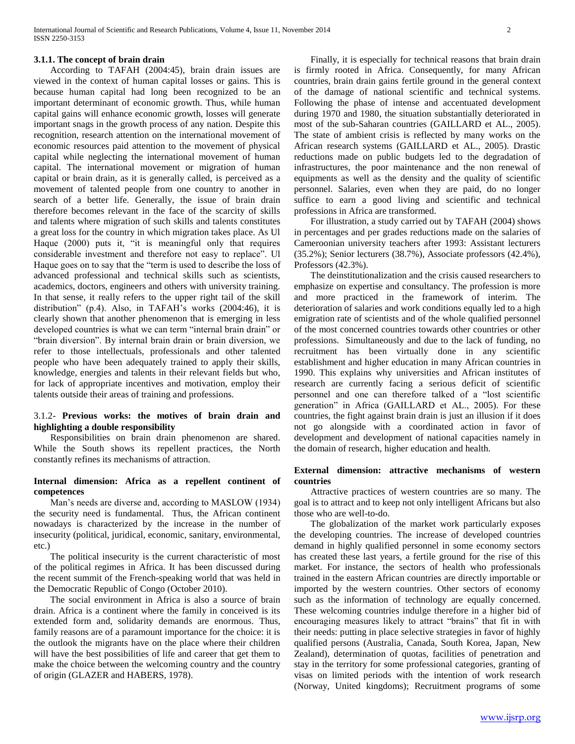## **3.1.1. The concept of brain drain**

 According to TAFAH (2004:45), brain drain issues are viewed in the context of human capital losses or gains. This is because human capital had long been recognized to be an important determinant of economic growth. Thus, while human capital gains will enhance economic growth, losses will generate important snags in the growth process of any nation. Despite this recognition, research attention on the international movement of economic resources paid attention to the movement of physical capital while neglecting the international movement of human capital. The international movement or migration of human capital or brain drain, as it is generally called, is perceived as a movement of talented people from one country to another in search of a better life. Generally, the issue of brain drain therefore becomes relevant in the face of the scarcity of skills and talents where migration of such skills and talents constitutes a great loss for the country in which migration takes place. As Ul Haque (2000) puts it, "it is meaningful only that requires considerable investment and therefore not easy to replace". Ul Haque goes on to say that the "term is used to describe the loss of advanced professional and technical skills such as scientists, academics, doctors, engineers and others with university training. In that sense, it really refers to the upper right tail of the skill distribution" (p.4). Also, in TAFAH's works (2004:46), it is clearly shown that another phenomenon that is emerging in less developed countries is what we can term "internal brain drain" or "brain diversion". By internal brain drain or brain diversion, we refer to those intellectuals, professionals and other talented people who have been adequately trained to apply their skills, knowledge, energies and talents in their relevant fields but who, for lack of appropriate incentives and motivation, employ their talents outside their areas of training and professions.

## 3.1.2- **Previous works: the motives of brain drain and highlighting a double responsibility**

 Responsibilities on brain drain phenomenon are shared. While the South shows its repellent practices, the North constantly refines its mechanisms of attraction.

## **Internal dimension: Africa as a repellent continent of competences**

 Man's needs are diverse and, according to MASLOW (1934) the security need is fundamental. Thus, the African continent nowadays is characterized by the increase in the number of insecurity (political, juridical, economic, sanitary, environmental, etc.)

 The political insecurity is the current characteristic of most of the political regimes in Africa. It has been discussed during the recent summit of the French-speaking world that was held in the Democratic Republic of Congo (October 2010).

 The social environment in Africa is also a source of brain drain. Africa is a continent where the family in conceived is its extended form and, solidarity demands are enormous. Thus, family reasons are of a paramount importance for the choice: it is the outlook the migrants have on the place where their children will have the best possibilities of life and career that get them to make the choice between the welcoming country and the country of origin (GLAZER and HABERS, 1978).

 Finally, it is especially for technical reasons that brain drain is firmly rooted in Africa. Consequently, for many African countries, brain drain gains fertile ground in the general context of the damage of national scientific and technical systems. Following the phase of intense and accentuated development during 1970 and 1980, the situation substantially deteriorated in most of the sub-Saharan countries (GAILLARD et AL., 2005). The state of ambient crisis is reflected by many works on the African research systems (GAILLARD et AL., 2005). Drastic reductions made on public budgets led to the degradation of infrastructures, the poor maintenance and the non renewal of equipments as well as the density and the quality of scientific personnel. Salaries, even when they are paid, do no longer suffice to earn a good living and scientific and technical professions in Africa are transformed.

 For illustration, a study carried out by TAFAH (2004) shows in percentages and per grades reductions made on the salaries of Cameroonian university teachers after 1993: Assistant lecturers (35.2%); Senior lecturers (38.7%), Associate professors (42.4%), Professors (42.3%).

 The deinstitutionalization and the crisis caused researchers to emphasize on expertise and consultancy. The profession is more and more practiced in the framework of interim. The deterioration of salaries and work conditions equally led to a high emigration rate of scientists and of the whole qualified personnel of the most concerned countries towards other countries or other professions. Simultaneously and due to the lack of funding, no recruitment has been virtually done in any scientific establishment and higher education in many African countries in 1990. This explains why universities and African institutes of research are currently facing a serious deficit of scientific personnel and one can therefore talked of a "lost scientific generation" in Africa (GAILLARD et AL., 2005). For these countries, the fight against brain drain is just an illusion if it does not go alongside with a coordinated action in favor of development and development of national capacities namely in the domain of research, higher education and health.

## **External dimension: attractive mechanisms of western countries**

 Attractive practices of western countries are so many. The goal is to attract and to keep not only intelligent Africans but also those who are well-to-do.

 The globalization of the market work particularly exposes the developing countries. The increase of developed countries demand in highly qualified personnel in some economy sectors has created these last years, a fertile ground for the rise of this market. For instance, the sectors of health who professionals trained in the eastern African countries are directly importable or imported by the western countries. Other sectors of economy such as the information of technology are equally concerned. These welcoming countries indulge therefore in a higher bid of encouraging measures likely to attract "brains" that fit in with their needs: putting in place selective strategies in favor of highly qualified persons (Australia, Canada, South Korea, Japan, New Zealand), determination of quotas, facilities of penetration and stay in the territory for some professional categories, granting of visas on limited periods with the intention of work research (Norway, United kingdoms); Recruitment programs of some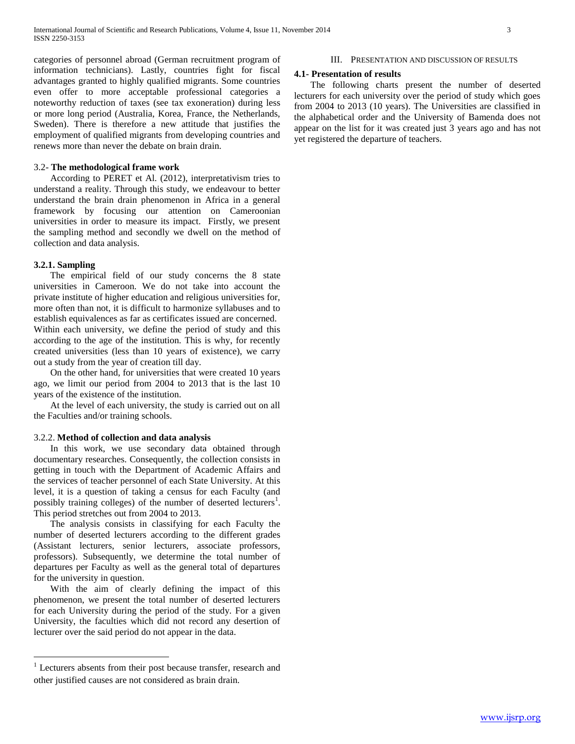categories of personnel abroad (German recruitment program of information technicians). Lastly, countries fight for fiscal advantages granted to highly qualified migrants. Some countries even offer to more acceptable professional categories a noteworthy reduction of taxes (see tax exoneration) during less or more long period (Australia, Korea, France, the Netherlands, Sweden). There is therefore a new attitude that justifies the employment of qualified migrants from developing countries and renews more than never the debate on brain drain.

## 3.2- **The methodological frame work**

 According to PERET et Al. (2012), interpretativism tries to understand a reality. Through this study, we endeavour to better understand the brain drain phenomenon in Africa in a general framework by focusing our attention on Cameroonian universities in order to measure its impact. Firstly, we present the sampling method and secondly we dwell on the method of collection and data analysis.

### **3.2.1. Sampling**

 $\overline{a}$ 

 The empirical field of our study concerns the 8 state universities in Cameroon. We do not take into account the private institute of higher education and religious universities for, more often than not, it is difficult to harmonize syllabuses and to establish equivalences as far as certificates issued are concerned. Within each university, we define the period of study and this according to the age of the institution. This is why, for recently created universities (less than 10 years of existence), we carry out a study from the year of creation till day.

 On the other hand, for universities that were created 10 years ago, we limit our period from 2004 to 2013 that is the last 10 years of the existence of the institution.

 At the level of each university, the study is carried out on all the Faculties and/or training schools.

### 3.2.2. **Method of collection and data analysis**

 In this work, we use secondary data obtained through documentary researches. Consequently, the collection consists in getting in touch with the Department of Academic Affairs and the services of teacher personnel of each State University. At this level, it is a question of taking a census for each Faculty (and possibly training colleges) of the number of deserted lecturers<sup>1</sup>. This period stretches out from 2004 to 2013.

 The analysis consists in classifying for each Faculty the number of deserted lecturers according to the different grades (Assistant lecturers, senior lecturers, associate professors, professors). Subsequently, we determine the total number of departures per Faculty as well as the general total of departures for the university in question.

 With the aim of clearly defining the impact of this phenomenon, we present the total number of deserted lecturers for each University during the period of the study. For a given University, the faculties which did not record any desertion of lecturer over the said period do not appear in the data.

#### III. PRESENTATION AND DISCUSSION OF RESULTS

### **4.1- Presentation of results**

 The following charts present the number of deserted lecturers for each university over the period of study which goes from 2004 to 2013 (10 years). The Universities are classified in the alphabetical order and the University of Bamenda does not appear on the list for it was created just 3 years ago and has not yet registered the departure of teachers.

<sup>&</sup>lt;sup>1</sup> Lecturers absents from their post because transfer, research and other justified causes are not considered as brain drain.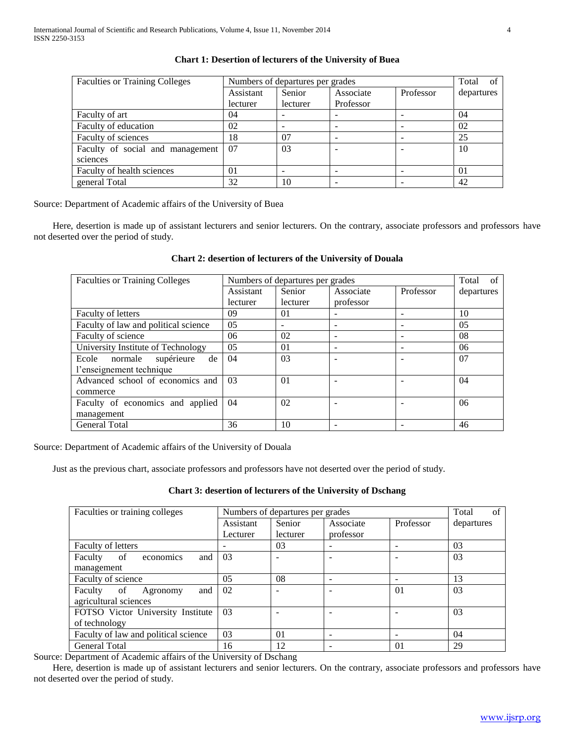| <b>Faculties or Training Colleges</b> | Numbers of departures per grades |                          |           |           | Total of   |
|---------------------------------------|----------------------------------|--------------------------|-----------|-----------|------------|
|                                       | Assistant                        | Senior                   | Associate | Professor | departures |
|                                       | lecturer                         | lecturer                 | Professor |           |            |
| Faculty of art                        | 04                               | $\overline{\phantom{0}}$ |           |           | 04         |
| Faculty of education                  | 02                               | $\overline{\phantom{0}}$ |           |           | 02         |
| Faculty of sciences                   | 18                               | 07                       |           |           | 25         |
| Faculty of social and management      | 07                               | 03                       |           |           | 10         |
| sciences                              |                                  |                          |           |           |            |
| Faculty of health sciences            | 0 <sub>1</sub>                   | $\overline{\phantom{0}}$ |           |           | 01         |
| general Total                         | 32                               | 10                       |           |           | 42         |

## **Chart 1: Desertion of lecturers of the University of Buea**

Source: Department of Academic affairs of the University of Buea

 Here, desertion is made up of assistant lecturers and senior lecturers. On the contrary, associate professors and professors have not deserted over the period of study.

## **Chart 2: desertion of lecturers of the University of Douala**

| <b>Faculties or Training Colleges</b> | Numbers of departures per grades |                          |                          |           | Total<br>of    |
|---------------------------------------|----------------------------------|--------------------------|--------------------------|-----------|----------------|
|                                       | Assistant                        | Senior                   | Associate                | Professor | departures     |
|                                       | lecturer                         | lecturer                 | professor                |           |                |
| <b>Faculty of letters</b>             | 09                               | 01                       | -                        |           | 10             |
| Faculty of law and political science  | 0 <sub>5</sub>                   | $\overline{\phantom{a}}$ |                          |           | 0 <sub>5</sub> |
| Faculty of science                    | 06                               | 02                       |                          |           | 08             |
| University Institute of Technology    | 05                               | 0 <sub>1</sub>           | $\overline{\phantom{0}}$ |           | 06             |
| supérieure<br>normale<br>Ecole<br>de  | 04                               | 03                       |                          |           | 07             |
| l'enseignement technique              |                                  |                          |                          |           |                |
| Advanced school of economics and      | 03                               | 01                       |                          |           | 04             |
| commerce                              |                                  |                          |                          |           |                |
| Faculty of economics and applied      | 04                               | 02                       |                          |           | 06             |
| management                            |                                  |                          |                          |           |                |
| <b>General Total</b>                  | 36                               | 10                       |                          |           | 46             |

Source: Department of Academic affairs of the University of Douala

Just as the previous chart, associate professors and professors have not deserted over the period of study.

**Chart 3: desertion of lecturers of the University of Dschang**

| Faculties or training colleges       | Numbers of departures per grades |          |           |                | Total<br>of |
|--------------------------------------|----------------------------------|----------|-----------|----------------|-------------|
|                                      | Assistant                        | Senior   | Associate | Professor      | departures  |
|                                      | Lecturer                         | lecturer | professor |                |             |
| <b>Faculty of letters</b>            |                                  | 03       |           |                | 03          |
| Faculty of<br>and<br>economics       | 03                               |          |           |                | 03          |
| management                           |                                  |          |           |                |             |
| Faculty of science                   | 05                               | 08       |           |                | 13          |
| Faculty of<br>and<br>Agronomy        | 02                               |          |           | 0 <sub>1</sub> | 03          |
| agricultural sciences                |                                  |          |           |                |             |
| FOTSO Victor University Institute    | 0 <sub>3</sub>                   |          |           |                | 03          |
| of technology                        |                                  |          |           |                |             |
| Faculty of law and political science | 03                               | 01       |           |                | 04          |
| <b>General Total</b>                 | 16                               | 12       |           | 0 <sub>1</sub> | 29          |

Source: Department of Academic affairs of the University of Dschang

 Here, desertion is made up of assistant lecturers and senior lecturers. On the contrary, associate professors and professors have not deserted over the period of study.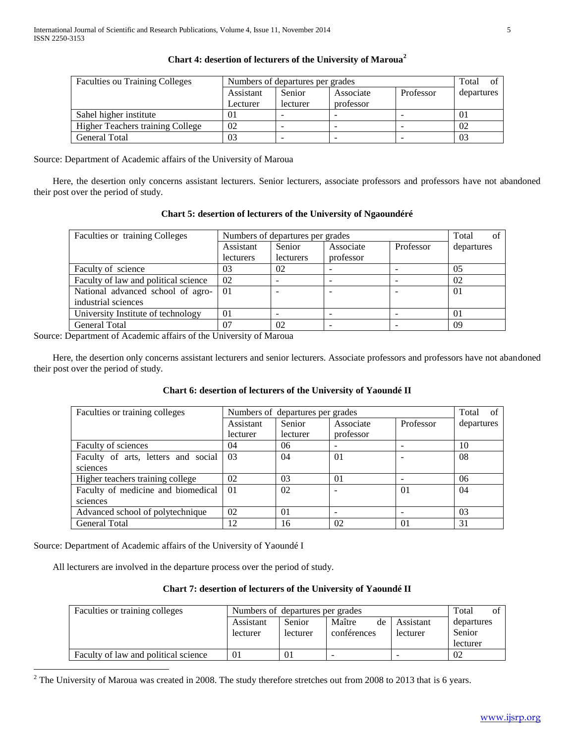| <b>Faculties ou Training Colleges</b>   |           | Numbers of departures per grades |           |           |            |
|-----------------------------------------|-----------|----------------------------------|-----------|-----------|------------|
|                                         | Assistant | Senior                           | Associate | Professor | departures |
|                                         | Lecturer  | lecturer                         | professor |           |            |
| Sahel higher institute                  | 01        | -                                |           | -         | $\Omega$   |
| <b>Higher Teachers training College</b> | 02        |                                  |           |           | 02         |
| General Total                           | 03        | -                                |           |           | 03         |

# **Chart 4: desertion of lecturers of the University of Maroua<sup>2</sup>**

Source: Department of Academic affairs of the University of Maroua

 Here, the desertion only concerns assistant lecturers. Senior lecturers, associate professors and professors have not abandoned their post over the period of study.

| Chart 5: desertion of lecturers of the University of Ingabilitiere |                |                                  |           |           |            |  |  |
|--------------------------------------------------------------------|----------------|----------------------------------|-----------|-----------|------------|--|--|
| Faculties or training Colleges                                     |                | Numbers of departures per grades |           |           |            |  |  |
|                                                                    | Assistant      | Senior                           | Associate | Professor | departures |  |  |
|                                                                    | lecturers      | lecturers                        | professor |           |            |  |  |
| Faculty of science                                                 | 03             | 02                               |           |           | 0.5        |  |  |
| Faculty of law and political science                               | 02             |                                  |           |           | 02         |  |  |
| National advanced school of agro-                                  | 0 <sub>1</sub> |                                  |           |           | $\Omega$   |  |  |
| industrial sciences                                                |                |                                  |           |           |            |  |  |
| University Institute of technology                                 | $\Omega$       |                                  |           |           | 01         |  |  |
| <b>General Total</b>                                               | 07             | 02                               |           |           | -09        |  |  |

**Chart 5: desertion of lecturers of the University of Ngaoundéré**

Source: Department of Academic affairs of the University of Maroua

 Here, the desertion only concerns assistant lecturers and senior lecturers. Associate professors and professors have not abandoned their post over the period of study.

# **Chart 6: desertion of lecturers of the University of Yaoundé II**

| Faculties or training colleges      |           | Numbers of departures per grades |           |                |            |
|-------------------------------------|-----------|----------------------------------|-----------|----------------|------------|
|                                     | Assistant | Senior                           | Associate | Professor      | departures |
|                                     | lecturer  | lecturer                         | professor |                |            |
| Faculty of sciences                 | 04        | 06                               | -         |                | 10         |
| Faculty of arts, letters and social | 03        | 04                               | 01        |                | 08         |
| sciences                            |           |                                  |           |                |            |
| Higher teachers training college    | 02        | 03                               | 01        |                | 06         |
| Faculty of medicine and biomedical  | 01        | 02                               |           | 01             | 04         |
| sciences                            |           |                                  |           |                |            |
| Advanced school of polytechnique    | 02        | 01                               |           |                | 03         |
| <b>General Total</b>                | 12        | 16                               | 02        | 0 <sub>1</sub> | 31         |

Source: Department of Academic affairs of the University of Yaoundé I

 $\overline{a}$ 

All lecturers are involved in the departure process over the period of study.

# **Chart 7: desertion of lecturers of the University of Yaoundé II**

| Faculties or training colleges       |           | Numbers of departures per grades |                          |           |            |
|--------------------------------------|-----------|----------------------------------|--------------------------|-----------|------------|
|                                      | Assistant | <b>Senior</b>                    | Maître<br>de             | Assistant | departures |
|                                      | lecturer  | lecturer                         | conférences              | lecturer  | Senior     |
|                                      |           |                                  |                          |           | lecturer   |
| Faculty of law and political science |           | 01                               | $\overline{\phantom{a}}$ | -         | 02         |

 $2$  The University of Maroua was created in 2008. The study therefore stretches out from 2008 to 2013 that is 6 years.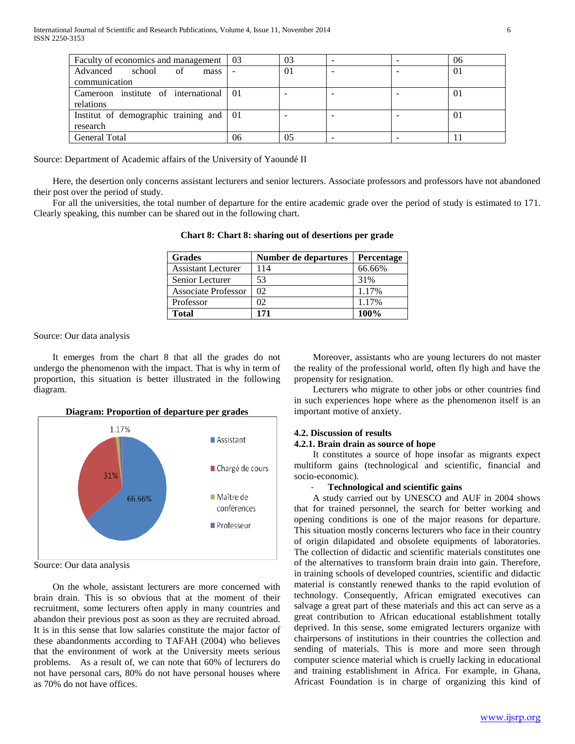| Faculty of economics and management   03 |    | 03             |  | 06       |
|------------------------------------------|----|----------------|--|----------|
| Advanced school<br>of<br>mass            |    | 0 <sub>1</sub> |  | $\Omega$ |
| communication                            |    |                |  |          |
| Cameroon institute of international 01   |    |                |  | $\Omega$ |
| relations                                |    |                |  |          |
| Institut of demographic training and 01  |    |                |  | $\Omega$ |
| research                                 |    |                |  |          |
| <b>General Total</b>                     | 06 | 05             |  |          |

Source: Department of Academic affairs of the University of Yaoundé II

 Here, the desertion only concerns assistant lecturers and senior lecturers. Associate professors and professors have not abandoned their post over the period of study.

 For all the universities, the total number of departure for the entire academic grade over the period of study is estimated to 171. Clearly speaking, this number can be shared out in the following chart.

| <b>Grades</b>              | Number de departures | Percentage |
|----------------------------|----------------------|------------|
| <b>Assistant Lecturer</b>  | 114                  | 66.66%     |
| Senior Lecturer            | 53                   | 31%        |
| <b>Associate Professor</b> | 02                   | 1.17%      |
| Professor                  | 02                   | 1.17%      |
| Total                      | 171                  | 100%       |

**Chart 8: Chart 8: sharing out of desertions per grade**

Source: Our data analysis

 It emerges from the chart 8 that all the grades do not undergo the phenomenon with the impact. That is why in term of proportion, this situation is better illustrated in the following diagram.



Source: Our data analysis

 On the whole, assistant lecturers are more concerned with brain drain. This is so obvious that at the moment of their recruitment, some lecturers often apply in many countries and abandon their previous post as soon as they are recruited abroad. It is in this sense that low salaries constitute the major factor of these abandonments according to TAFAH (2004) who believes that the environment of work at the University meets serious problems. As a result of, we can note that 60% of lecturers do not have personal cars, 80% do not have personal houses where as 70% do not have offices.

 Moreover, assistants who are young lecturers do not master the reality of the professional world, often fly high and have the propensity for resignation.

 Lecturers who migrate to other jobs or other countries find in such experiences hope where as the phenomenon itself is an important motive of anxiety.

# **4.2. Discussion of results**

## **4.2.1. Brain drain as source of hope**

 It constitutes a source of hope insofar as migrants expect multiform gains (technological and scientific, financial and socio-economic).

### - **Technological and scientific gains**

 A study carried out by UNESCO and AUF in 2004 shows that for trained personnel, the search for better working and opening conditions is one of the major reasons for departure. This situation mostly concerns lecturers who face in their country of origin dilapidated and obsolete equipments of laboratories. The collection of didactic and scientific materials constitutes one of the alternatives to transform brain drain into gain. Therefore, in training schools of developed countries, scientific and didactic material is constantly renewed thanks to the rapid evolution of technology. Consequently, African emigrated executives can salvage a great part of these materials and this act can serve as a great contribution to African educational establishment totally deprived. In this sense, some emigrated lecturers organize with chairpersons of institutions in their countries the collection and sending of materials. This is more and more seen through computer science material which is cruelly lacking in educational and training establishment in Africa. For example, in Ghana, Africast Foundation is in charge of organizing this kind of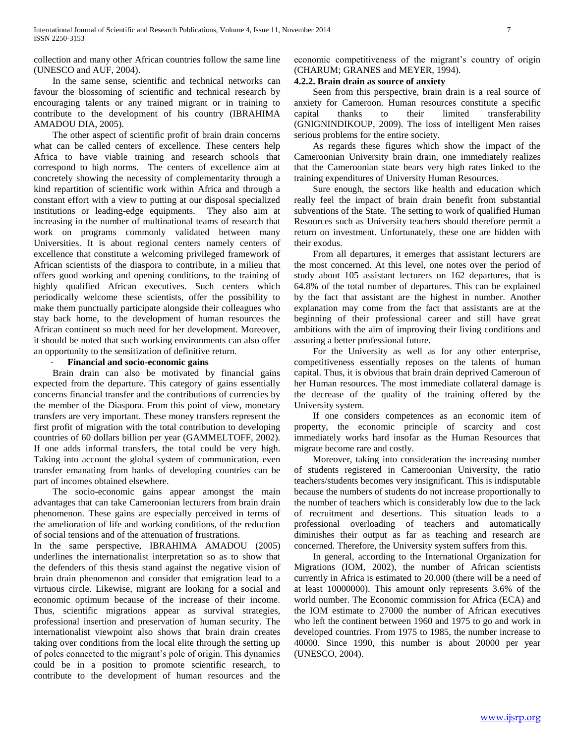collection and many other African countries follow the same line (UNESCO and AUF, 2004).

 In the same sense, scientific and technical networks can favour the blossoming of scientific and technical research by encouraging talents or any trained migrant or in training to contribute to the development of his country (IBRAHIMA AMADOU DIA, 2005).

 The other aspect of scientific profit of brain drain concerns what can be called centers of excellence. These centers help Africa to have viable training and research schools that correspond to high norms. The centers of excellence aim at concretely showing the necessity of complementarity through a kind repartition of scientific work within Africa and through a constant effort with a view to putting at our disposal specialized institutions or leading-edge equipments. They also aim at increasing in the number of multinational teams of research that work on programs commonly validated between many Universities. It is about regional centers namely centers of excellence that constitute a welcoming privileged framework of African scientists of the diaspora to contribute, in a milieu that offers good working and opening conditions, to the training of highly qualified African executives. Such centers which periodically welcome these scientists, offer the possibility to make them punctually participate alongside their colleagues who stay back home, to the development of human resources the African continent so much need for her development. Moreover, it should be noted that such working environments can also offer an opportunity to the sensitization of definitive return.

## - **Financial and socio-economic gains**

 Brain drain can also be motivated by financial gains expected from the departure. This category of gains essentially concerns financial transfer and the contributions of currencies by the member of the Diaspora. From this point of view, monetary transfers are very important. These money transfers represent the first profit of migration with the total contribution to developing countries of 60 dollars billion per year (GAMMELTOFF, 2002). If one adds informal transfers, the total could be very high. Taking into account the global system of communication, even transfer emanating from banks of developing countries can be part of incomes obtained elsewhere.

 The socio-economic gains appear amongst the main advantages that can take Cameroonian lecturers from brain drain phenomenon. These gains are especially perceived in terms of the amelioration of life and working conditions, of the reduction of social tensions and of the attenuation of frustrations.

In the same perspective, IBRAHIMA AMADOU (2005) underlines the internationalist interpretation so as to show that the defenders of this thesis stand against the negative vision of brain drain phenomenon and consider that emigration lead to a virtuous circle. Likewise, migrant are looking for a social and economic optimum because of the increase of their income. Thus, scientific migrations appear as survival strategies, professional insertion and preservation of human security. The internationalist viewpoint also shows that brain drain creates taking over conditions from the local elite through the setting up of poles connected to the migrant's pole of origin. This dynamics could be in a position to promote scientific research, to contribute to the development of human resources and the economic competitiveness of the migrant's country of origin (CHARUM; GRANES and MEYER, 1994).

## **4.2.2. Brain drain as source of anxiety**

 Seen from this perspective, brain drain is a real source of anxiety for Cameroon. Human resources constitute a specific capital thanks to their limited transferability (GNIGNINDIKOUP, 2009). The loss of intelligent Men raises serious problems for the entire society.

 As regards these figures which show the impact of the Cameroonian University brain drain, one immediately realizes that the Cameroonian state bears very high rates linked to the training expenditures of University Human Resources.

 Sure enough, the sectors like health and education which really feel the impact of brain drain benefit from substantial subventions of the State. The setting to work of qualified Human Resources such as University teachers should therefore permit a return on investment. Unfortunately, these one are hidden with their exodus.

 From all departures, it emerges that assistant lecturers are the most concerned. At this level, one notes over the period of study about 105 assistant lecturers on 162 departures, that is 64.8% of the total number of departures. This can be explained by the fact that assistant are the highest in number. Another explanation may come from the fact that assistants are at the beginning of their professional career and still have great ambitions with the aim of improving their living conditions and assuring a better professional future.

 For the University as well as for any other enterprise, competitiveness essentially reposes on the talents of human capital. Thus, it is obvious that brain drain deprived Cameroun of her Human resources. The most immediate collateral damage is the decrease of the quality of the training offered by the University system.

 If one considers competences as an economic item of property, the economic principle of scarcity and cost immediately works hard insofar as the Human Resources that migrate become rare and costly.

 Moreover, taking into consideration the increasing number of students registered in Cameroonian University, the ratio teachers/students becomes very insignificant. This is indisputable because the numbers of students do not increase proportionally to the number of teachers which is considerably low due to the lack of recruitment and desertions. This situation leads to a professional overloading of teachers and automatically diminishes their output as far as teaching and research are concerned. Therefore, the University system suffers from this.

 In general, according to the International Organization for Migrations (IOM, 2002), the number of African scientists currently in Africa is estimated to 20.000 (there will be a need of at least 10000000). This amount only represents 3.6% of the world number. The Economic commission for Africa (ECA) and the IOM estimate to 27000 the number of African executives who left the continent between 1960 and 1975 to go and work in developed countries. From 1975 to 1985, the number increase to 40000. Since 1990, this number is about 20000 per year (UNESCO, 2004).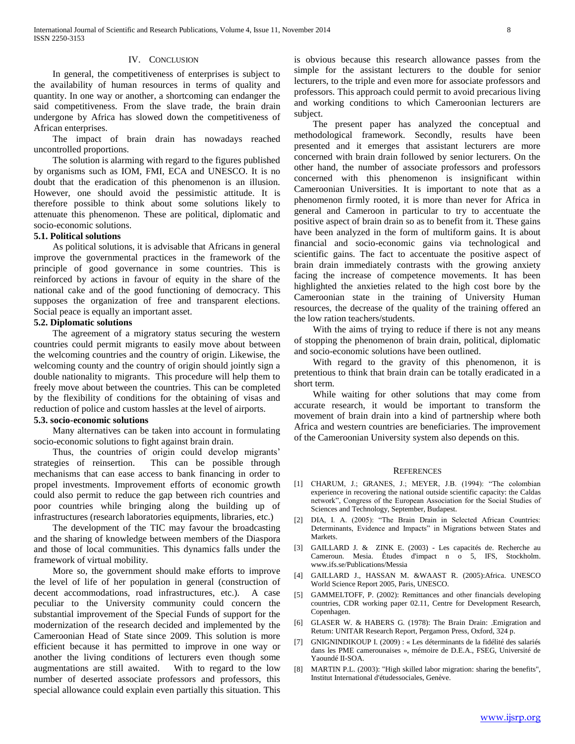### IV. CONCLUSION

 In general, the competitiveness of enterprises is subject to the availability of human resources in terms of quality and quantity. In one way or another, a shortcoming can endanger the said competitiveness. From the slave trade, the brain drain undergone by Africa has slowed down the competitiveness of African enterprises.

 The impact of brain drain has nowadays reached uncontrolled proportions.

 The solution is alarming with regard to the figures published by organisms such as IOM, FMI, ECA and UNESCO. It is no doubt that the eradication of this phenomenon is an illusion. However, one should avoid the pessimistic attitude. It is therefore possible to think about some solutions likely to attenuate this phenomenon. These are political, diplomatic and socio-economic solutions.

## **5.1. Political solutions**

 As political solutions, it is advisable that Africans in general improve the governmental practices in the framework of the principle of good governance in some countries. This is reinforced by actions in favour of equity in the share of the national cake and of the good functioning of democracy. This supposes the organization of free and transparent elections. Social peace is equally an important asset.

## **5.2. Diplomatic solutions**

 The agreement of a migratory status securing the western countries could permit migrants to easily move about between the welcoming countries and the country of origin. Likewise, the welcoming county and the country of origin should jointly sign a double nationality to migrants. This procedure will help them to freely move about between the countries. This can be completed by the flexibility of conditions for the obtaining of visas and reduction of police and custom hassles at the level of airports.

## **5.3. socio-economic solutions**

 Many alternatives can be taken into account in formulating socio-economic solutions to fight against brain drain.

 Thus, the countries of origin could develop migrants' strategies of reinsertion. This can be possible through mechanisms that can ease access to bank financing in order to propel investments. Improvement efforts of economic growth could also permit to reduce the gap between rich countries and poor countries while bringing along the building up of infrastructures (research laboratories equipments, libraries, etc.)

 The development of the TIC may favour the broadcasting and the sharing of knowledge between members of the Diaspora and those of local communities. This dynamics falls under the framework of virtual mobility.

 More so, the government should make efforts to improve the level of life of her population in general (construction of decent accommodations, road infrastructures, etc.). A case peculiar to the University community could concern the substantial improvement of the Special Funds of support for the modernization of the research decided and implemented by the Cameroonian Head of State since 2009. This solution is more efficient because it has permitted to improve in one way or another the living conditions of lecturers even though some augmentations are still awaited. With to regard to the low number of deserted associate professors and professors, this special allowance could explain even partially this situation. This

is obvious because this research allowance passes from the simple for the assistant lecturers to the double for senior lecturers, to the triple and even more for associate professors and professors. This approach could permit to avoid precarious living and working conditions to which Cameroonian lecturers are subject.

 The present paper has analyzed the conceptual and methodological framework. Secondly, results have been presented and it emerges that assistant lecturers are more concerned with brain drain followed by senior lecturers. On the other hand, the number of associate professors and professors concerned with this phenomenon is insignificant within Cameroonian Universities. It is important to note that as a phenomenon firmly rooted, it is more than never for Africa in general and Cameroon in particular to try to accentuate the positive aspect of brain drain so as to benefit from it. These gains have been analyzed in the form of multiform gains. It is about financial and socio-economic gains via technological and scientific gains. The fact to accentuate the positive aspect of brain drain immediately contrasts with the growing anxiety facing the increase of competence movements. It has been highlighted the anxieties related to the high cost bore by the Cameroonian state in the training of University Human resources, the decrease of the quality of the training offered an the low ration teachers/students.

With the aims of trying to reduce if there is not any means of stopping the phenomenon of brain drain, political, diplomatic and socio-economic solutions have been outlined.

 With regard to the gravity of this phenomenon, it is pretentious to think that brain drain can be totally eradicated in a short term.

 While waiting for other solutions that may come from accurate research, it would be important to transform the movement of brain drain into a kind of partnership where both Africa and western countries are beneficiaries. The improvement of the Cameroonian University system also depends on this.

#### **REFERENCES**

- [1] CHARUM, J.; GRANES, J.; MEYER, J.B. (1994): "The colombian experience in recovering the national outside scientific capacity: the Caldas network", Congress of the European Association for the Social Studies of Sciences and Technology, September, Budapest.
- [2] DIA, I. A. (2005): "The Brain Drain in Selected African Countries: Determinants, Evidence and Impacts" in Migrations between States and Markets.
- [3] GAILLARD J. & ZINK E. (2003) Les capacités de. Recherche au Cameroun. Mesia. Études d'impact n o 5, IFS, Stockholm. www.ifs.se/Publications/Messia
- [4] GAILLARD J., HASSAN M. &WAAST R. (2005):Africa. UNESCO World Science Report 2005, Paris, UNESCO.
- [5] GAMMELTOFF, P. (2002): Remittances and other financials developing countries, CDR working paper 02.11, Centre for Development Research, Copenhagen.
- [6] GLASER W. & HABERS G. (1978): The Brain Drain: .Emigration and Return: UNITAR Research Report, Pergamon Press, Oxford, 324 p.
- [7] GNIGNINDIKOUP I. (2009) : « Les déterminants de la fidélité des salariés dans les PME camerounaises », mémoire de D.E.A., FSEG, Université de Yaoundé II-SOA.
- [8] MARTIN P.L. (2003): "High skilled labor migration: sharing the benefits", Institut International d'étudessociales, Genève.